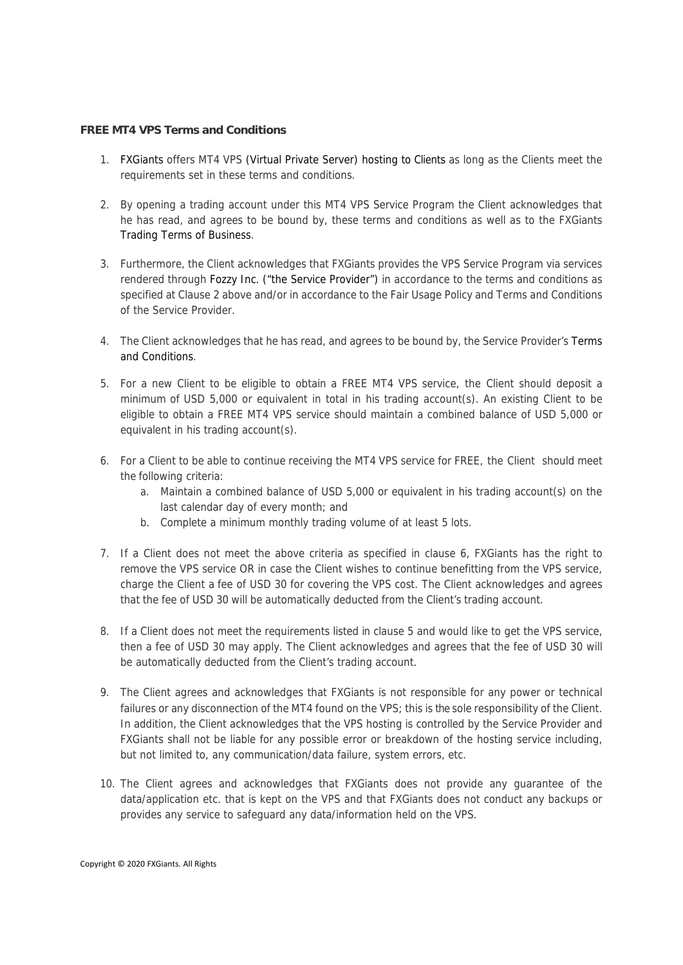## **FREE MT4 VPS Terms and Conditions**

- 1. FXGiants offers MT4 VPS (Virtual Private Server) hosting to Clients as long as the Clients meet the requirements set in these terms and conditions.
- 2. By opening a trading account under this MT4 VPS Service Program the Client acknowledges that he has read, and agrees to be bound by, these terms and conditions as well as to the FXGiants Trading Terms of Business.
- 3. Furthermore, the Client acknowledges that FXGiants provides the VPS Service Program via services rendered through Fozzy Inc. ("the Service Provider") in accordance to the terms and conditions as specified at Clause 2 above and/or in accordance to the Fair Usage Policy and Terms and Conditions of the Service Provider.
- 4. The Client acknowledges that he has read, and agrees to be bound by, the Service Provider's Terms and Conditions.
- 5. For a new Client to be eligible to obtain a FREE MT4 VPS service, the Client should deposit a minimum of USD 5,000 or equivalent in total in his trading account(s). An existing Client to be eligible to obtain a FREE MT4 VPS service should maintain a combined balance of USD 5,000 or equivalent in his trading account(s).
- 6. For a Client to be able to continue receiving the MT4 VPS service for FREE, the Client should meet the following criteria:
	- a. Maintain a combined balance of USD 5,000 or equivalent in his trading account(s) on the last calendar day of every month; and
	- b. Complete a minimum monthly trading volume of at least 5 lots.
- 7. If a Client does not meet the above criteria as specified in clause 6, FXGiants has the right to remove the VPS service OR in case the Client wishes to continue benefitting from the VPS service, charge the Client a fee of USD 30 for covering the VPS cost. The Client acknowledges and agrees that the fee of USD 30 will be automatically deducted from the Client's trading account.
- 8. If a Client does not meet the requirements listed in clause 5 and would like to get the VPS service, then a fee of USD 30 may apply. The Client acknowledges and agrees that the fee of USD 30 will be automatically deducted from the Client's trading account.
- 9. The Client agrees and acknowledges that FXGiants is not responsible for any power or technical failures or any disconnection of the MT4 found on the VPS; this is the sole responsibility of the Client. In addition, the Client acknowledges that the VPS hosting is controlled by the Service Provider and FXGiants shall not be liable for any possible error or breakdown of the hosting service including, but not limited to, any communication/data failure, system errors, etc.
- 10. The Client agrees and acknowledges that FXGiants does not provide any guarantee of the data/application etc. that is kept on the VPS and that FXGiants does not conduct any backups or provides any service to safeguard any data/information held on the VPS.